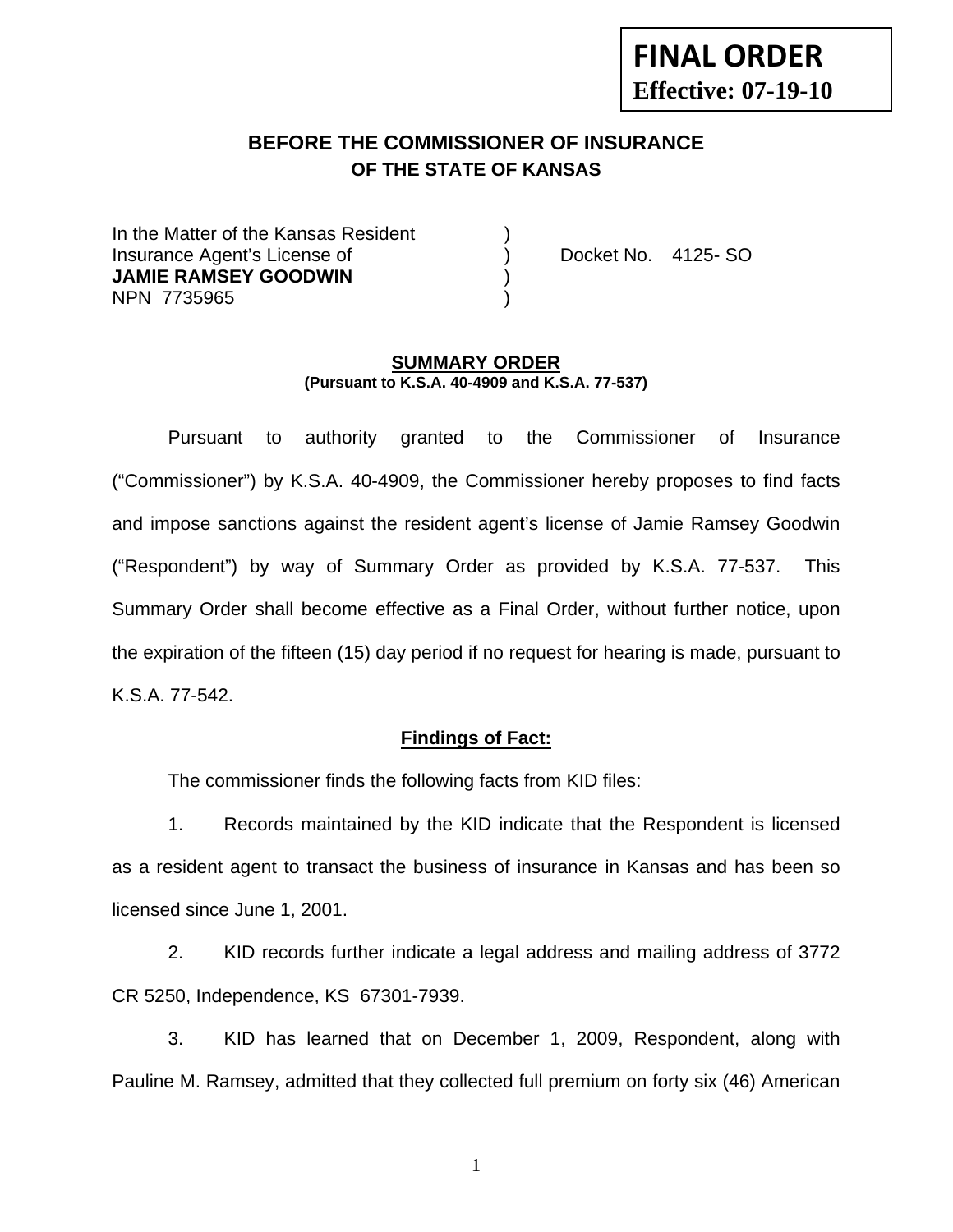# **FINAL ORDER Effective: 07-19-10**

# **BEFORE THE COMMISSIONER OF INSURANCE OF THE STATE OF KANSAS**

In the Matter of the Kansas Resident Insurance Agent's License of ) Docket No. 4125- SO **JAMIE RAMSEY GOODWIN** ) NPN 7735965 )

#### **SUMMARY ORDER (Pursuant to K.S.A. 40-4909 and K.S.A. 77-537)**

 Pursuant to authority granted to the Commissioner of Insurance ("Commissioner") by K.S.A. 40-4909, the Commissioner hereby proposes to find facts and impose sanctions against the resident agent's license of Jamie Ramsey Goodwin ("Respondent") by way of Summary Order as provided by K.S.A. 77-537. This Summary Order shall become effective as a Final Order, without further notice, upon the expiration of the fifteen (15) day period if no request for hearing is made, pursuant to K.S.A. 77-542.

### **Findings of Fact:**

The commissioner finds the following facts from KID files:

 1. Records maintained by the KID indicate that the Respondent is licensed as a resident agent to transact the business of insurance in Kansas and has been so licensed since June 1, 2001.

 2. KID records further indicate a legal address and mailing address of 3772 CR 5250, Independence, KS 67301-7939.

 3. KID has learned that on December 1, 2009, Respondent, along with Pauline M. Ramsey, admitted that they collected full premium on forty six (46) American

1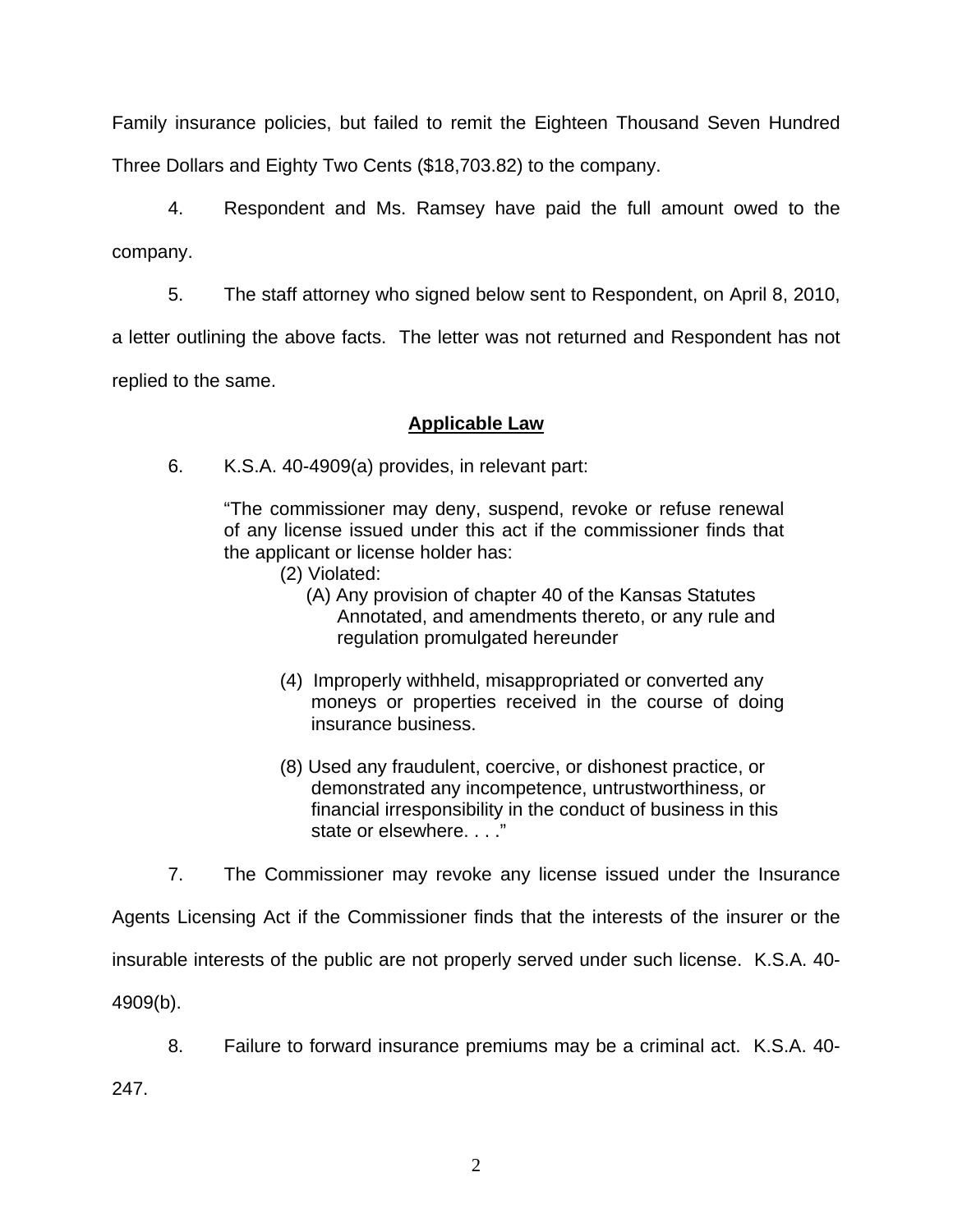Family insurance policies, but failed to remit the Eighteen Thousand Seven Hundred Three Dollars and Eighty Two Cents (\$18,703.82) to the company.

 4. Respondent and Ms. Ramsey have paid the full amount owed to the company.

5. The staff attorney who signed below sent to Respondent, on April 8, 2010,

a letter outlining the above facts. The letter was not returned and Respondent has not

replied to the same.

## **Applicable Law**

6. K.S.A. 40-4909(a) provides, in relevant part:

"The commissioner may deny, suspend, revoke or refuse renewal of any license issued under this act if the commissioner finds that the applicant or license holder has:

- (2) Violated:
	- (A) Any provision of chapter 40 of the Kansas Statutes Annotated, and amendments thereto, or any rule and regulation promulgated hereunder
- (4) Improperly withheld, misappropriated or converted any moneys or properties received in the course of doing insurance business.
- (8) Used any fraudulent, coercive, or dishonest practice, or demonstrated any incompetence, untrustworthiness, or financial irresponsibility in the conduct of business in this state or elsewhere. . . ."

7. The Commissioner may revoke any license issued under the Insurance

Agents Licensing Act if the Commissioner finds that the interests of the insurer or the insurable interests of the public are not properly served under such license. K.S.A. 40- 4909(b).

8. Failure to forward insurance premiums may be a criminal act. K.S.A. 40-

247.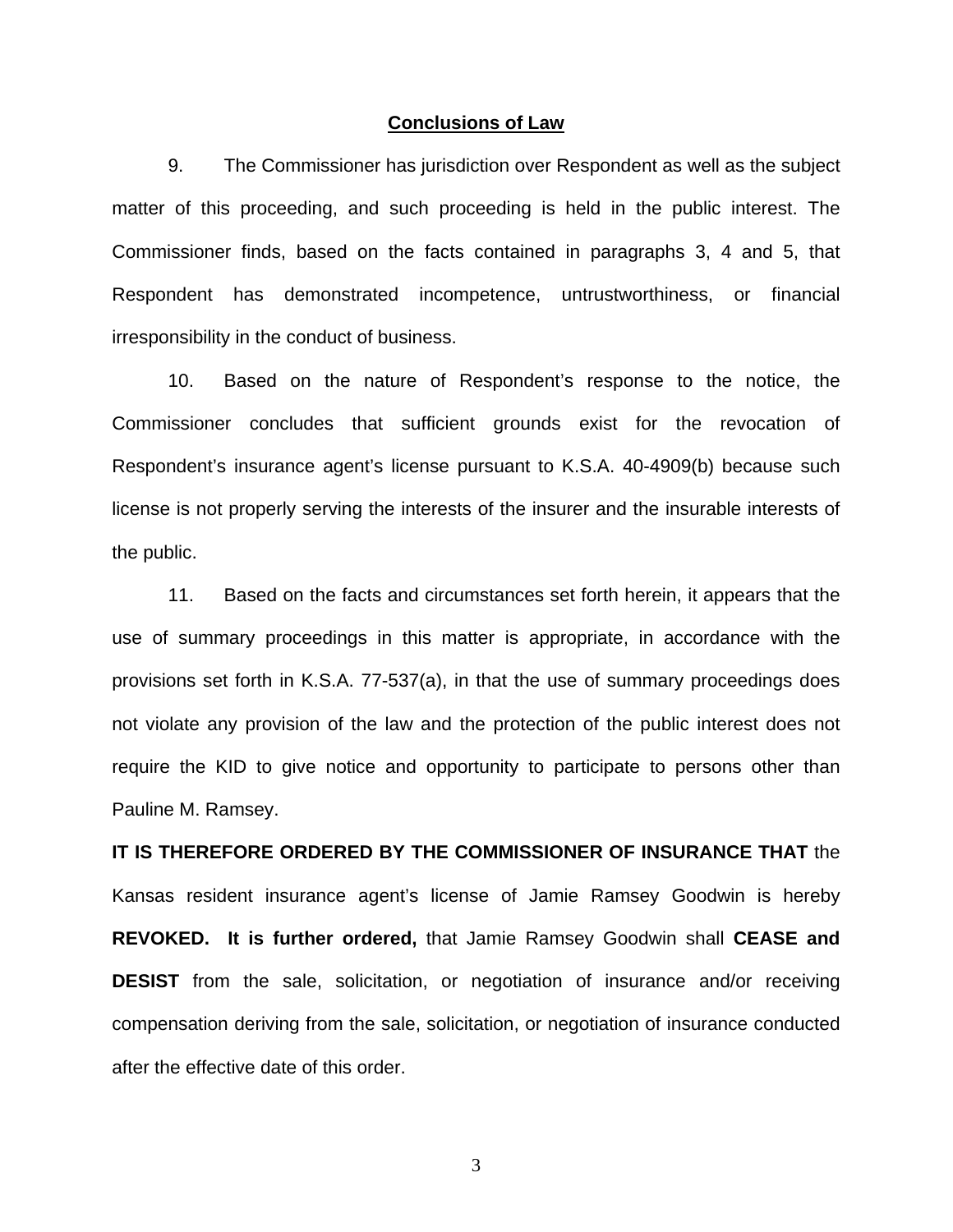#### **Conclusions of Law**

 9. The Commissioner has jurisdiction over Respondent as well as the subject matter of this proceeding, and such proceeding is held in the public interest. The Commissioner finds, based on the facts contained in paragraphs 3, 4 and 5, that Respondent has demonstrated incompetence, untrustworthiness, or financial irresponsibility in the conduct of business.

 10. Based on the nature of Respondent's response to the notice, the Commissioner concludes that sufficient grounds exist for the revocation of Respondent's insurance agent's license pursuant to K.S.A. 40-4909(b) because such license is not properly serving the interests of the insurer and the insurable interests of the public.

 11. Based on the facts and circumstances set forth herein, it appears that the use of summary proceedings in this matter is appropriate, in accordance with the provisions set forth in K.S.A. 77-537(a), in that the use of summary proceedings does not violate any provision of the law and the protection of the public interest does not require the KID to give notice and opportunity to participate to persons other than Pauline M. Ramsey.

**IT IS THEREFORE ORDERED BY THE COMMISSIONER OF INSURANCE THAT** the Kansas resident insurance agent's license of Jamie Ramsey Goodwin is hereby **REVOKED. It is further ordered,** that Jamie Ramsey Goodwin shall **CEASE and DESIST** from the sale, solicitation, or negotiation of insurance and/or receiving compensation deriving from the sale, solicitation, or negotiation of insurance conducted after the effective date of this order.

3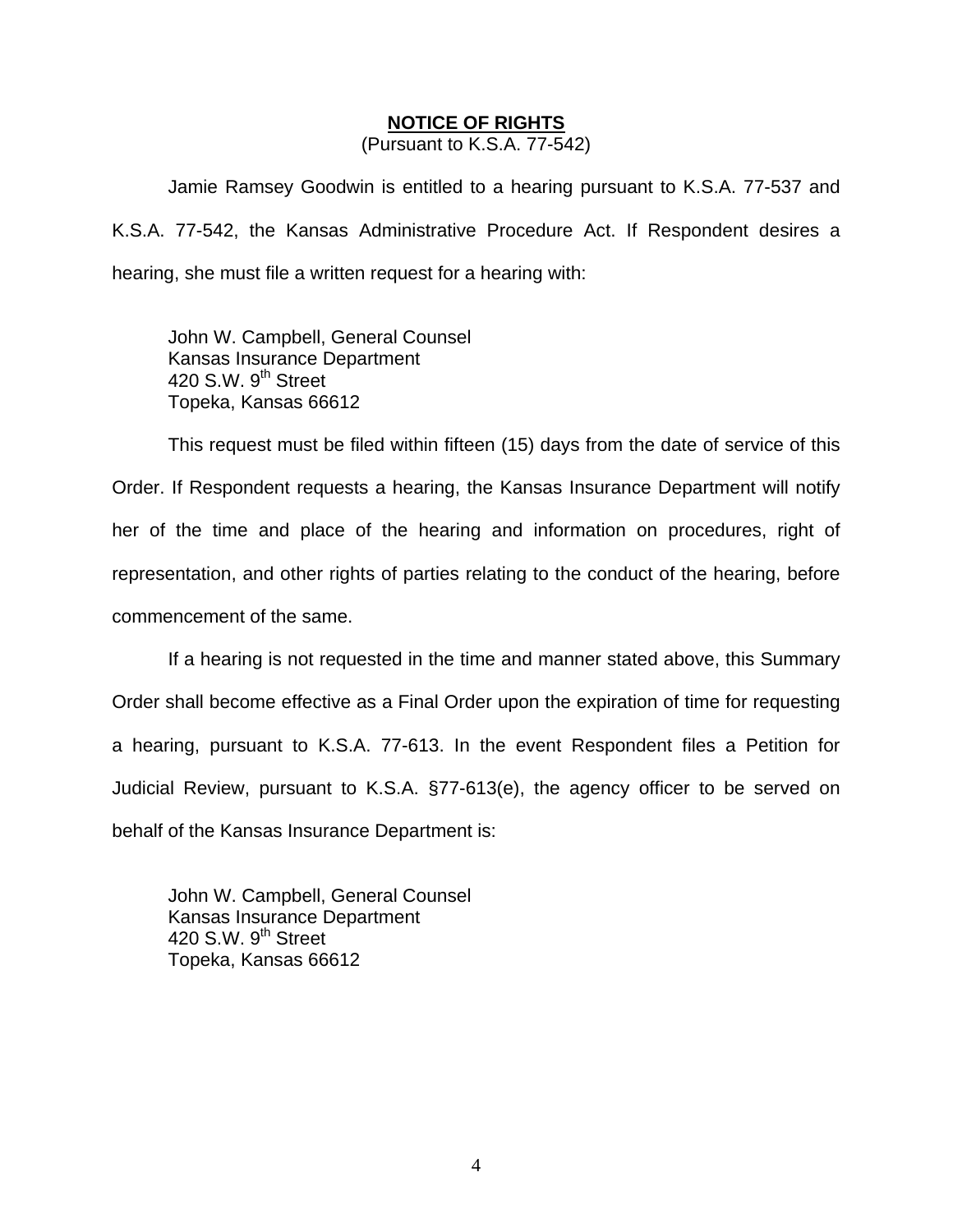#### **NOTICE OF RIGHTS**

(Pursuant to K.S.A. 77-542)

Jamie Ramsey Goodwin is entitled to a hearing pursuant to K.S.A. 77-537 and K.S.A. 77-542, the Kansas Administrative Procedure Act. If Respondent desires a hearing, she must file a written request for a hearing with:

 John W. Campbell, General Counsel Kansas Insurance Department 420 S.W. 9<sup>th</sup> Street Topeka, Kansas 66612

This request must be filed within fifteen (15) days from the date of service of this Order. If Respondent requests a hearing, the Kansas Insurance Department will notify her of the time and place of the hearing and information on procedures, right of representation, and other rights of parties relating to the conduct of the hearing, before commencement of the same.

If a hearing is not requested in the time and manner stated above, this Summary Order shall become effective as a Final Order upon the expiration of time for requesting a hearing, pursuant to K.S.A. 77-613. In the event Respondent files a Petition for Judicial Review, pursuant to K.S.A. §77-613(e), the agency officer to be served on behalf of the Kansas Insurance Department is:

 John W. Campbell, General Counsel Kansas Insurance Department 420 S.W.  $9<sup>th</sup>$  Street Topeka, Kansas 66612